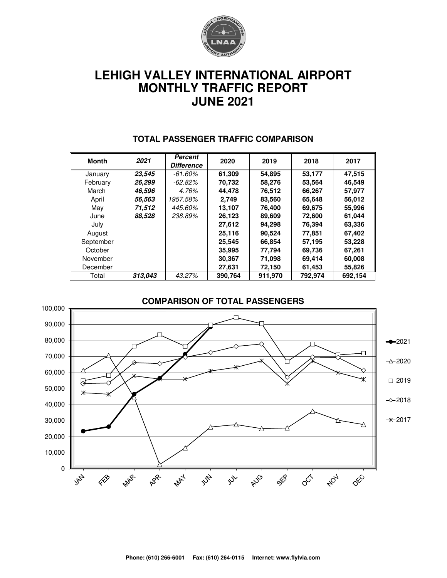

# **LEHIGH VALLEY INTERNATIONAL AIRPORT MONTHLY TRAFFIC REPORT JUNE 2021**

| <b>Month</b> | 2021    | Percent<br><b>Difference</b> | 2020    | 2019    | 2018    | 2017    |
|--------------|---------|------------------------------|---------|---------|---------|---------|
| January      | 23,545  | $-61.60\%$                   | 61,309  | 54,895  | 53,177  | 47,515  |
| February     | 26,299  | -62.82%                      | 70,732  | 58,276  | 53,564  | 46,549  |
| March        | 46,596  | 4.76%                        | 44.478  | 76,512  | 66,267  | 57,977  |
| April        | 56,563  | 1957.58%                     | 2.749   | 83,560  | 65,648  | 56,012  |
| May          | 71,512  | 445.60%                      | 13.107  | 76.400  | 69,675  | 55,996  |
| June         | 88,528  | 238.89%                      | 26,123  | 89,609  | 72,600  | 61,044  |
| July         |         |                              | 27,612  | 94,298  | 76,394  | 63,336  |
| August       |         |                              | 25.116  | 90.524  | 77,851  | 67,402  |
| September    |         |                              | 25.545  | 66.854  | 57,195  | 53,228  |
| October      |         |                              | 35,995  | 77,794  | 69,736  | 67,261  |
| November     |         |                              | 30.367  | 71,098  | 69,414  | 60,008  |
| December     |         |                              | 27,631  | 72,150  | 61,453  | 55,826  |
| Total        | 313,043 | 43.27%                       | 390,764 | 911,970 | 792,974 | 692,154 |

#### **TOTAL PASSENGER TRAFFIC COMPARISON**

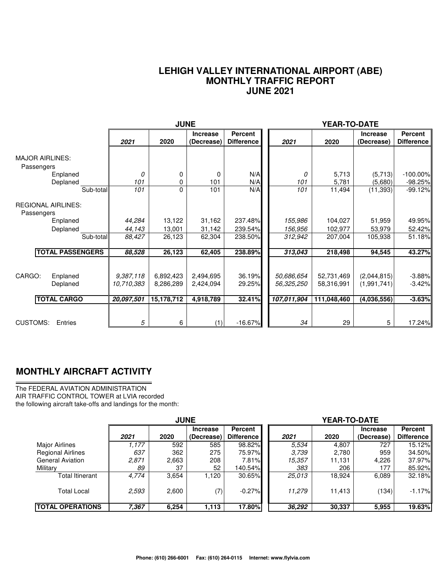#### **LEHIGH VALLEY INTERNATIONAL AIRPORT (ABE) MONTHLY TRAFFIC REPORT JUNE 2021**

|                                                      |                                       | <b>JUNE</b>                          |                                     |                                     |                                         | YEAR-TO-DATE                            |                                           |                                  |
|------------------------------------------------------|---------------------------------------|--------------------------------------|-------------------------------------|-------------------------------------|-----------------------------------------|-----------------------------------------|-------------------------------------------|----------------------------------|
|                                                      | 2021                                  | 2020                                 | <b>Increase</b><br>(Decrease)       | <b>Percent</b><br><b>Difference</b> | 2021                                    | 2020                                    | <b>Increase</b><br>(Decrease)             | Percent<br><b>Difference</b>     |
| <b>MAJOR AIRLINES:</b><br>Passengers                 |                                       |                                      |                                     |                                     |                                         |                                         |                                           |                                  |
| Enplaned<br>Deplaned                                 | 0<br>101                              | 0<br>0                               | 0<br>101                            | N/A<br>N/A                          | 0<br>101                                | 5,713<br>5,781                          | (5,713)<br>(5,680)                        | $-100.00\%$<br>$-98.25%$         |
| Sub-total                                            | 101                                   | 0                                    | 101                                 | N/A                                 | 101                                     | 11,494                                  | (11, 393)                                 | $-99.12%$                        |
| <b>REGIONAL AIRLINES:</b><br>Passengers              |                                       |                                      |                                     |                                     |                                         |                                         |                                           |                                  |
| Enplaned                                             | 44,284                                | 13,122                               | 31,162                              | 237.48%                             | 155,986                                 | 104,027                                 | 51,959                                    | 49.95%                           |
| Deplaned                                             | 44,143                                | 13,001                               | 31,142                              | 239.54%                             | 156,956                                 | 102,977                                 | 53,979                                    | 52.42%                           |
| Sub-total                                            | 88,427                                | 26,123                               | 62,304                              | 238.50%                             | 312,942                                 | 207,004                                 | 105,938                                   | 51.18%                           |
| <b>TOTAL PASSENGERS</b>                              | 88,528                                | 26,123                               | 62,405                              | 238.89%                             | 313,043                                 | 218,498                                 | 94,545                                    | 43.27%                           |
| CARGO:<br>Enplaned<br>Deplaned<br><b>TOTAL CARGO</b> | 9,387,118<br>10,710,383<br>20,097,501 | 6,892,423<br>8,286,289<br>15,178,712 | 2,494,695<br>2,424,094<br>4,918,789 | 36.19%<br>29.25%<br>32.41%          | 50,686,654<br>56,325,250<br>107,011,904 | 52,731,469<br>58,316,991<br>111,048,460 | (2,044,815)<br>(1,991,741)<br>(4,036,556) | $-3.88%$<br>$-3.42%$<br>$-3.63%$ |
| <b>CUSTOMS:</b><br>Entries                           | 5                                     | 6                                    | (1)                                 | $-16.67%$                           | 34                                      | 29                                      | 5                                         | 17.24%                           |

### **MONTHLY AIRCRAFT ACTIVITY**

The FEDERAL AVIATION ADMINISTRATION AIR TRAFFIC CONTROL TOWER at LVIA recorded the following aircraft take-offs and landings for the month:

|                          | <b>JUNE</b> |       |                               |                                     | YEAR-TO-DATE |        |                               |                       |  |  |
|--------------------------|-------------|-------|-------------------------------|-------------------------------------|--------------|--------|-------------------------------|-----------------------|--|--|
|                          | 2021        | 2020  | <b>Increase</b><br>(Decrease) | <b>Percent</b><br><b>Difference</b> | 2021         | 2020   | <b>Increase</b><br>(Decrease) | Percent<br>Difference |  |  |
| Major Airlines           | 1.177       | 592   | 585                           | 98.82%                              | 5.534        | 4,807  | 727                           | 15.12%                |  |  |
| <b>Regional Airlines</b> | 637         | 362   | 275                           | 75.97%                              | 3.739        | 2,780  | 959                           | 34.50%                |  |  |
| <b>General Aviation</b>  | 2,871       | 2,663 | 208                           | 7.81%                               | 15,357       | 11,131 | 4,226                         | 37.97%                |  |  |
| Military                 | 89          | 37    | 52                            | 140.54%                             | 383          | 206    | 177                           | 85.92%                |  |  |
| Total Itinerant          | 4,774       | 3,654 | 1,120                         | 30.65%                              | 25,013       | 18,924 | 6,089                         | 32.18%                |  |  |
| <b>Total Local</b>       | 2,593       | 2,600 | (7)                           | $-0.27%$                            | 11.279       | 11,413 | (134)                         | $-1.17%$              |  |  |
| <b>ITOTAL OPERATIONS</b> | 7,367       | 6,254 | 1,113                         | 17.80%                              | 36,292       | 30,337 | 5,955                         | 19.63%                |  |  |